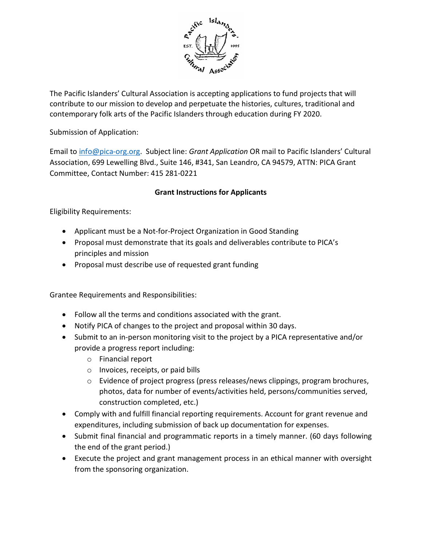

The Pacific Islanders' Cultural Association is accepting applications to fund projects that will contribute to our mission to develop and perpetuate the histories, cultures, traditional and contemporary folk arts of the Pacific Islanders through education during FY 2020.

Submission of Application:

Email to info@pica-org.org. Subject line: Grant Application OR mail to Pacific Islanders' Cultural Association, 699 Lewelling Blvd., Suite 146, #341, San Leandro, CA 94579, ATTN: PICA Grant Committee, Contact Number: 415 281-0221

## Grant Instructions for Applicants

Eligibility Requirements:

- Applicant must be a Not-for-Project Organization in Good Standing
- Proposal must demonstrate that its goals and deliverables contribute to PICA's principles and mission
- Proposal must describe use of requested grant funding

Grantee Requirements and Responsibilities:

- Follow all the terms and conditions associated with the grant.
- Notify PICA of changes to the project and proposal within 30 days.
- Submit to an in-person monitoring visit to the project by a PICA representative and/or provide a progress report including:
	- o Financial report
	- o Invoices, receipts, or paid bills
	- $\circ$  Evidence of project progress (press releases/news clippings, program brochures, photos, data for number of events/activities held, persons/communities served, construction completed, etc.)
- Comply with and fulfill financial reporting requirements. Account for grant revenue and expenditures, including submission of back up documentation for expenses.
- Submit final financial and programmatic reports in a timely manner. (60 days following the end of the grant period.)
- Execute the project and grant management process in an ethical manner with oversight from the sponsoring organization.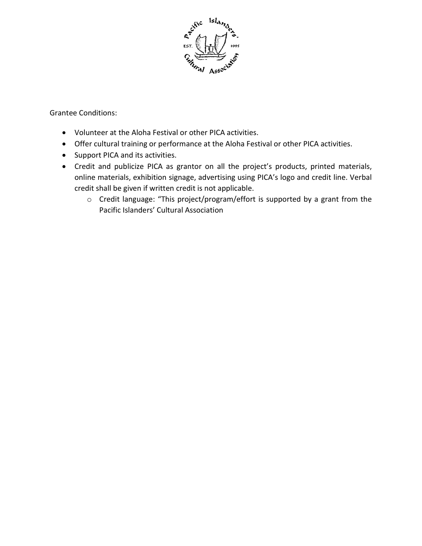

Grantee Conditions:

- Volunteer at the Aloha Festival or other PICA activities.
- Offer cultural training or performance at the Aloha Festival or other PICA activities.
- Support PICA and its activities.
- Credit and publicize PICA as grantor on all the project's products, printed materials, online materials, exhibition signage, advertising using PICA's logo and credit line. Verbal credit shall be given if written credit is not applicable.
	- o Credit language: "This project/program/effort is supported by a grant from the Pacific Islanders' Cultural Association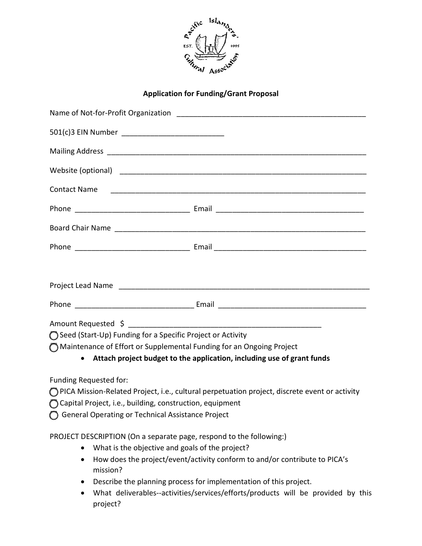

## Application for Funding/Grant Proposal

| <b>Contact Name</b>                                                    |                                                                                                 |
|------------------------------------------------------------------------|-------------------------------------------------------------------------------------------------|
|                                                                        |                                                                                                 |
|                                                                        |                                                                                                 |
|                                                                        |                                                                                                 |
|                                                                        |                                                                                                 |
|                                                                        |                                                                                                 |
|                                                                        |                                                                                                 |
| ◯ Seed (Start-Up) Funding for a Specific Project or Activity           |                                                                                                 |
| O Maintenance of Effort or Supplemental Funding for an Ongoing Project |                                                                                                 |
|                                                                        | • Attach project budget to the application, including use of grant funds                        |
| Funding Requested for:                                                 |                                                                                                 |
|                                                                        | O PICA Mission-Related Project, i.e., cultural perpetuation project, discrete event or activity |
| Capital Project, i.e., building, construction, equipment               |                                                                                                 |
| ◯ General Operating or Technical Assistance Project                    |                                                                                                 |
| PROJECT DESCRIPTION (On a separate page, respond to the following:)    |                                                                                                 |
| What is the objective and goals of the project?                        |                                                                                                 |
| $\bullet$<br>mission?                                                  | How does the project/event/activity conform to and/or contribute to PICA's                      |
|                                                                        | Describe the planning process for implementation of this project.                               |
| $\bullet$<br>project?                                                  | What deliverables--activities/services/efforts/products will be provided by this                |